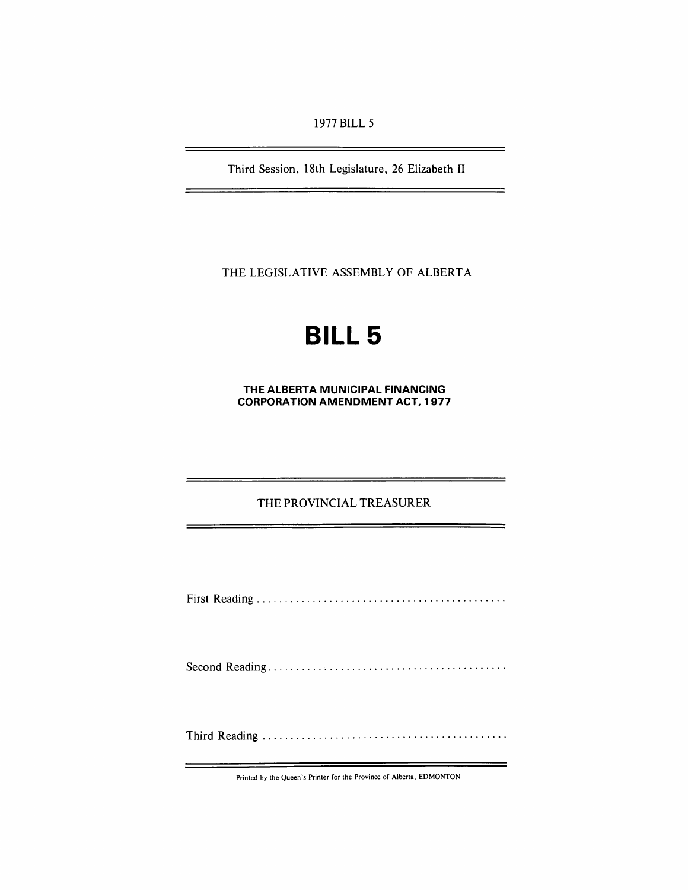1977 BILL 5

Third Session, 18th Legislature, 26 Elizabeth II

<u> 1980 - Andrea Station, amerikan programma eta politika</u>

 $\Rightarrow$ 

 $\overline{\phantom{0}}$ 

-

THE LEGISLATIVE ASSEMBLY OF ALBERTA

# **BILL 5**

**THE ALBERTA MUNICIPAL FINANCING CORPORATION AMENDMENT** ACT. 1977

## THE PROVINCIAL TREASURER

First Reading ............................................ .

Second Reading .......................................... .

Third Reading ........................................... .

Printed by the Queen's Printer for the Province of Alberta, EDMONTON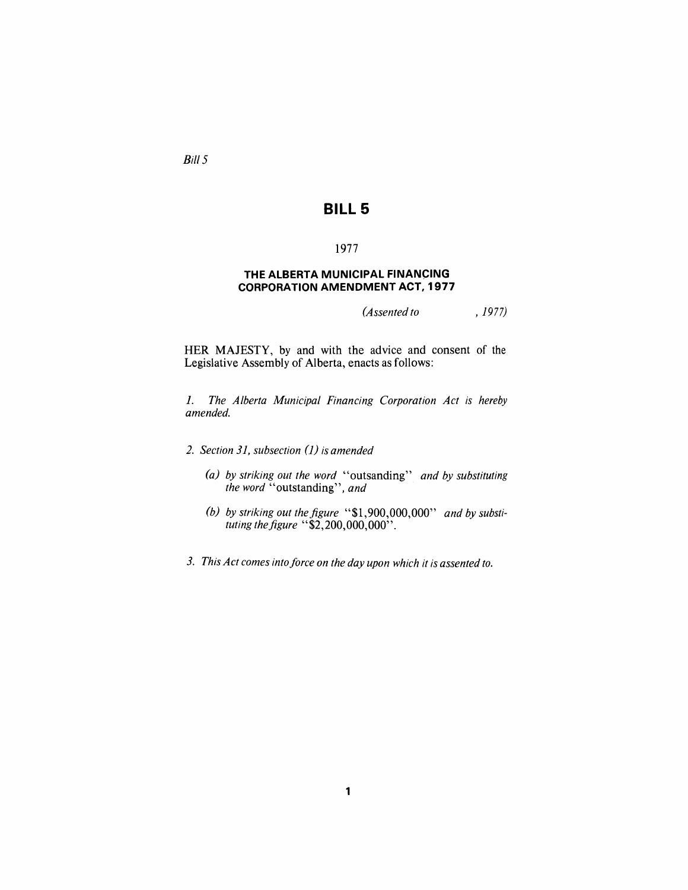Bill 5

## **BILL 5**

## 1977

### **THE ALBERTA MUNICIPAL FINANCING CORPORATION AMENDMENT ACT, 1977**

*(Assented to* , 1977)

HER MAJESTY, by and with the advice and consent of the Legislative Assembly of Alberta, enacts as follows:

*1. The Alberta Municipal Financing Corporation Act is hereby amended.* 

*2. Section* 31, *subsection* 0) *is amended* 

- *(a) by striking out the word* "outsanding" *and by substituting the word* "outstanding", *and*
- (b) by striking out the figure "\$1,900,000,000" and by substi*tuting the figure* "\$2,200,000,000".
- *3. This Act comes intoforce on the day upon which it is assented to.*